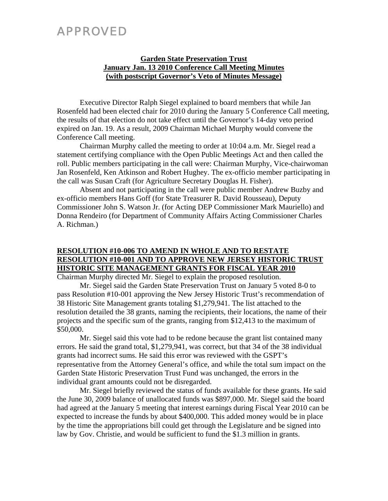## APPROVED

#### **Garden State Preservation Trust January Jan. 13 2010 Conference Call Meeting Minutes (with postscript Governor's Veto of Minutes Message)**

Executive Director Ralph Siegel explained to board members that while Jan Rosenfeld had been elected chair for 2010 during the January 5 Conference Call meeting, the results of that election do not take effect until the Governor's 14-day veto period expired on Jan. 19. As a result, 2009 Chairman Michael Murphy would convene the Conference Call meeting.

Chairman Murphy called the meeting to order at 10:04 a.m. Mr. Siegel read a statement certifying compliance with the Open Public Meetings Act and then called the roll. Public members participating in the call were: Chairman Murphy, Vice-chairwoman Jan Rosenfeld, Ken Atkinson and Robert Hughey. The ex-officio member participating in the call was Susan Craft (for Agriculture Secretary Douglas H. Fisher).

Absent and not participating in the call were public member Andrew Buzby and ex-officio members Hans Goff (for State Treasurer R. David Rousseau), Deputy Commissioner John S. Watson Jr. (for Acting DEP Commissioner Mark Mauriello) and Donna Rendeiro (for Department of Community Affairs Acting Commissioner Charles A. Richman.)

### **RESOLUTION #10-006 TO AMEND IN WHOLE AND TO RESTATE RESOLUTION #10-001 AND TO APPROVE NEW JERSEY HISTORIC TRUST HISTORIC SITE MANAGEMENT GRANTS FOR FISCAL YEAR 2010**

Chairman Murphy directed Mr. Siegel to explain the proposed resolution.

 Mr. Siegel said the Garden State Preservation Trust on January 5 voted 8-0 to pass Resolution #10-001 approving the New Jersey Historic Trust's recommendation of 38 Historic Site Management grants totaling \$1,279,941. The list attached to the resolution detailed the 38 grants, naming the recipients, their locations, the name of their projects and the specific sum of the grants, ranging from \$12,413 to the maximum of \$50,000.

 Mr. Siegel said this vote had to be redone because the grant list contained many errors. He said the grand total, \$1,279,941, was correct, but that 34 of the 38 individual grants had incorrect sums. He said this error was reviewed with the GSPT's representative from the Attorney General's office, and while the total sum impact on the Garden State Historic Preservation Trust Fund was unchanged, the errors in the individual grant amounts could not be disregarded.

 Mr. Siegel briefly reviewed the status of funds available for these grants. He said the June 30, 2009 balance of unallocated funds was \$897,000. Mr. Siegel said the board had agreed at the January 5 meeting that interest earnings during Fiscal Year 2010 can be expected to increase the funds by about \$400,000. This added money would be in place by the time the appropriations bill could get through the Legislature and be signed into law by Gov. Christie, and would be sufficient to fund the \$1.3 million in grants.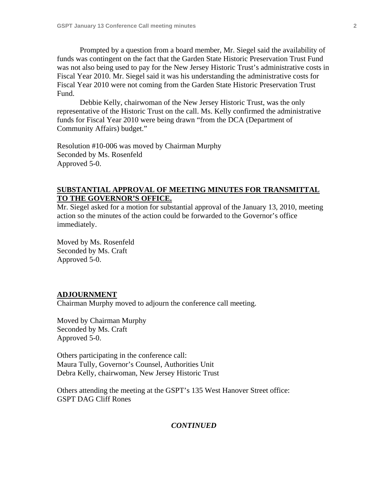Prompted by a question from a board member, Mr. Siegel said the availability of funds was contingent on the fact that the Garden State Historic Preservation Trust Fund was not also being used to pay for the New Jersey Historic Trust's administrative costs in Fiscal Year 2010. Mr. Siegel said it was his understanding the administrative costs for Fiscal Year 2010 were not coming from the Garden State Historic Preservation Trust Fund.

 Debbie Kelly, chairwoman of the New Jersey Historic Trust, was the only representative of the Historic Trust on the call. Ms. Kelly confirmed the administrative funds for Fiscal Year 2010 were being drawn "from the DCA (Department of Community Affairs) budget."

Resolution #10-006 was moved by Chairman Murphy Seconded by Ms. Rosenfeld Approved 5-0.

#### **SUBSTANTIAL APPROVAL OF MEETING MINUTES FOR TRANSMITTAL TO THE GOVERNOR'S OFFICE.**

Mr. Siegel asked for a motion for substantial approval of the January 13, 2010, meeting action so the minutes of the action could be forwarded to the Governor's office immediately.

Moved by Ms. Rosenfeld Seconded by Ms. Craft Approved 5-0.

#### **ADJOURNMENT**

Chairman Murphy moved to adjourn the conference call meeting.

Moved by Chairman Murphy Seconded by Ms. Craft Approved 5-0.

Others participating in the conference call: Maura Tully, Governor's Counsel, Authorities Unit Debra Kelly, chairwoman, New Jersey Historic Trust

Others attending the meeting at the GSPT's 135 West Hanover Street office: GSPT DAG Cliff Rones

#### *CONTINUED*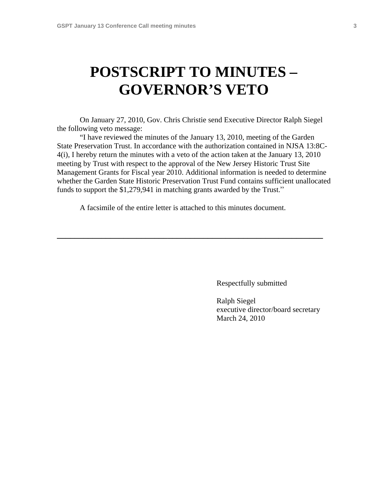# **POSTSCRIPT TO MINUTES – GOVERNOR'S VETO**

On January 27, 2010, Gov. Chris Christie send Executive Director Ralph Siegel the following veto message:

 "I have reviewed the minutes of the January 13, 2010, meeting of the Garden State Preservation Trust. In accordance with the authorization contained in NJSA 13:8C-4(i), I hereby return the minutes with a veto of the action taken at the January 13, 2010 meeting by Trust with respect to the approval of the New Jersey Historic Trust Site Management Grants for Fiscal year 2010. Additional information is needed to determine whether the Garden State Historic Preservation Trust Fund contains sufficient unallocated funds to support the \$1,279,941 in matching grants awarded by the Trust."

A facsimile of the entire letter is attached to this minutes document.

**\_\_\_\_\_\_\_\_\_\_\_\_\_\_\_\_\_\_\_\_\_\_\_\_\_\_\_\_\_\_\_\_\_\_\_\_\_\_\_\_\_\_\_\_\_\_\_\_\_\_\_\_\_\_\_\_\_\_\_\_** 

Respectfully submitted

 Ralph Siegel executive director/board secretary March 24, 2010